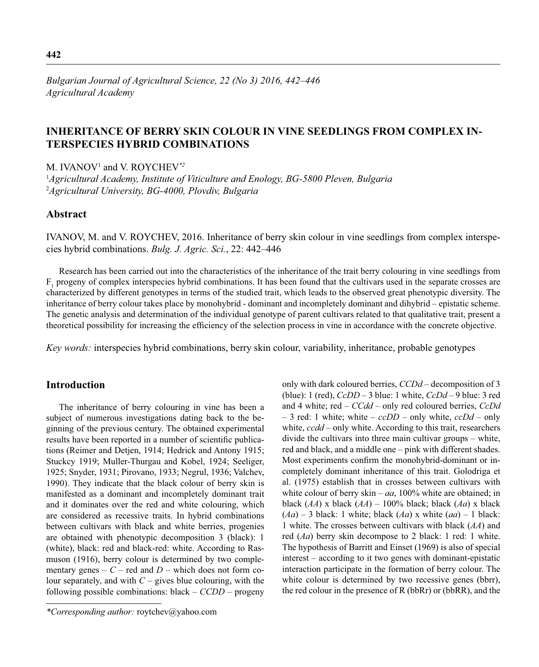# **INHERITANCE OF BERRY SKIN COLOUR IN VINE SEEDLINGS FROM COMPLEX IN-TERSPECIES HYBRID COMBINATIONS**

M. IVANOV1 and V. ROYCHEV*\*2*

1 *Agricultural Academy, Institute of Viticulture and Enology, BG-5800 Pleven, Bulgaria* 2 *Agricultural University, BG-4000, Plovdiv, Bulgaria* 

## **Abstract**

IVANOV, M. and V. ROYCHEV, 2016. Inheritance of berry skin colour in vine seedlings from complex interspecies hybrid combinations. *Bulg. J. Agric. Sci.*, 22: 442–446

Research has been carried out into the characteristics of the inheritance of the trait berry colouring in vine seedlings from  $F_1$  progeny of complex interspecies hybrid combinations. It has been found that the cultivars used in the separate crosses are characterized by different genotypes in terms of the studied trait, which leads to the observed great phenotypic diversity. The inheritance of berry colour takes place by monohybrid - dominant and incompletely dominant and dihybrid – epistatic scheme. The genetic analysis and determination of the individual genotype of parent cultivars related to that qualitative trait, present a theoretical possibility for increasing the efficiency of the selection process in vine in accordance with the concrete objective.

*Key words:* interspecies hybrid combinations, berry skin colour, variability, inheritance, probable genotypes

## **Introduction**

The inheritance of berry colouring in vine has been a subject of numerous investigations dating back to the beginning of the previous century. The obtained experimental results have been reported in a number of scientific publications (Reimer and Detjen, 1914; Hedrick and Antony 1915; Stuckcy 1919; Muller-Thurgau and Kobel, 1924; Seeliger, 1925; Snyder, 1931; Pirovano, 1933; Negrul, 1936; Valchev, 1990). They indicate that the black colour of berry skin is manifested as a dominant and incompletely dominant trait and it dominates over the red and white colouring, which are considered as recessive traits. In hybrid combinations between cultivars with black and white berries, progenies are obtained with phenotypic decomposition 3 (black): 1 (white), black: red and black-red: white. According to Rasmuson (1916), berry colour is determined by two complementary genes –  $C$  – red and  $D$  – which does not form colour separately, and with  $C -$  gives blue colouring, with the following possible combinations: black – *CCDD* – progeny only with dark coloured berries, *CCDd* – decomposition of 3 (blue): 1 (red), *CcDD* – 3 blue: 1 white, *CcDd* – 9 blue: 3 red and 4 white; red – *CCdd* – only red coloured berries, *CcDd* – 3 red: 1 white; white – *ccDD* – only white, *ccDd* – only white, *ccdd* – only white. According to this trait, researchers divide the cultivars into three main cultivar groups – white, red and black, and a middle one – pink with different shades. Most experiments confirm the monohybrid-dominant or incompletely dominant inheritance of this trait. Golodriga et al. (1975) establish that in crosses between cultivars with white colour of berry skin –  $aa$ , 100% white are obtained; in black (*AA*) x black (*AA*) – 100% black; black (*Aa*) x black (*Aa*) – 3 black: 1 white; black (*Aa*) x white (*aa*) – 1 black: 1 white. The crosses between cultivars with black (*AA*) and red (*Aa*) berry skin decompose to 2 black: 1 red: 1 white. The hypothesis of Barritt and Einset (1969) is also of special interest – according to it two genes with dominant-epistatic interaction participate in the formation of berry colour. The white colour is determined by two recessive genes (bbrr), the red colour in the presence of R (bbRr) or (bbRR), and the

*<sup>\*</sup>Corresponding author:* roytchev@yahoo.com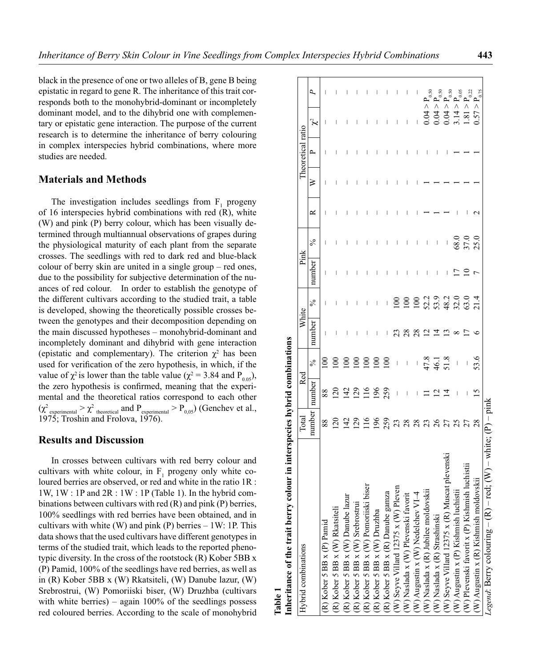black in the presence of one or two alleles of B, gene B being epistatic in regard to gene R. The inheritance of this trait corresponds both to the monohybrid-dominant or incompletely dominant model, and to the dihybrid one with complementary or epistatic gene interaction. The purpose of the current research is to determine the inheritance of berry colouring in complex interspecies hybrid combinations, where more studies are needed.

## **Materials and Methods**

The investigation includes seedlings from  $F_1$  progeny of 16 interspecies hybrid combinations with red (R), white (W) and pink (P) berry colour, which has been visually determined through multiannual observations of grapes during the physiological maturity of each plant from the separate crosses. The seedlings with red to dark red and blue-black colour of berry skin are united in a single group – red ones, due to the possibility for subjective determination of the nuances of red colour. In order to establish the genotype of the different cultivars according to the studied trait, a table is developed, showing the theoretically possible crosses between the genotypes and their decomposition depending on the main discussed hypotheses – monohybrid-dominant and incompletely dominant and dihybrid with gene interaction (epistatic and complementary). The criterion  $\chi^2$  has been used for verification of the zero hypothesis, in which, if the value of  $\chi^2$  is lower than the table value ( $\chi^2 = 3.84$  and  $P_{0.05}$ ), the zero hypothesis is confirmed, meaning that the experimental and the theoretical ratios correspond to each other  $(\chi^2)$ <sub>experimental</sub>  $> \chi^2$ <sub>theoretical</sub> and  $P$ <sub>experimental</sub>  $> P$ <sub>0,05</sub>) (Genchev et al., 1975; Troshin and Frolova, 1976).

### **Results and Discussion**

In crosses between cultivars with red berry colour and cultivars with white colour, in  $F_1$  progeny only white coloured berries are observed, or red and white in the ratio 1R : 1W, 1W : 1P and 2R : 1W : 1P (Table 1). In the hybrid combinations between cultivars with red (R) and pink (P) berries, 100% seedlings with red berries have been obtained, and in cultivars with white  $(W)$  and pink  $(P)$  berries  $-1W$ : 1P. This data shows that the used cultivars have different genotypes in terms of the studied trait, which leads to the reported phenotypic diversity. In the cross of the rootstock (R) Kober 5BB x (P) Pamid, 100% of the seedlings have red berries, as well as in (R) Kober 5BB x (W) Rkatsiteli, (W) Danube lazur, (W) Srebrostrui, (W) Pomoriiski biser, (W) Druzhba (cultivars with white berries) – again  $100\%$  of the seedlings possess red coloured berries. According to the scale of monohybrid

**Table 1**

| ur in interspecies hybrid combinations<br>Inheritance of the trait berry colou |                 |                                |                     |         |               |        |                      |   |   |                   |           |                                                                                                                                                                     |
|--------------------------------------------------------------------------------|-----------------|--------------------------------|---------------------|---------|---------------|--------|----------------------|---|---|-------------------|-----------|---------------------------------------------------------------------------------------------------------------------------------------------------------------------|
| Hybrid combinations                                                            | Total           | Red                            |                     | White   |               | Pink   |                      |   |   | Theoretical ratio |           |                                                                                                                                                                     |
|                                                                                | number          | number                         | $\frac{5}{6}$       | number  | $\frac{5}{6}$ | number | $\frac{5}{6}$        | ≃ | ≥ | L,                | $\approx$ | Р,                                                                                                                                                                  |
| $(R)$ Kober 5 BB x $(P)$ Pamid                                                 | 88              | $88\,$                         | $\approx$           |         |               |        |                      |   |   |                   |           |                                                                                                                                                                     |
| (R) Kober 5 BB x (W) Rkatsiteli                                                | $\overline{20}$ | $\overline{20}$                | $\overline{5}$      |         |               |        |                      |   |   |                   |           |                                                                                                                                                                     |
| (R) Kober 5 BB x (W) Danube lazur                                              | 229509888888    |                                | $\overline{5}$      |         |               |        |                      |   |   |                   |           |                                                                                                                                                                     |
| (R) Kober 5 BB x (W) Srebrostrui                                               |                 |                                |                     |         |               |        |                      |   |   |                   |           |                                                                                                                                                                     |
| (R) Kober 5 BB x (W) Pomoriiski biser                                          |                 | 42958                          | 8800                |         |               |        |                      |   |   |                   |           |                                                                                                                                                                     |
| $(R)$ Kober 5 BB x $(W)$ Druzhba                                               |                 |                                |                     | $\mid$  | $\mid$        |        |                      |   |   |                   |           |                                                                                                                                                                     |
| (R) Kober 5 BB x (R) Danube gamza                                              |                 |                                | $\overline{5}$      | $\vert$ | $\vert$       |        |                      |   |   |                   |           |                                                                                                                                                                     |
| W) Seyve Villard 12375 x (W) Pleven                                            |                 | $\overline{\phantom{a}}$       | $\mathcal{A}$       | 23      |               | I      | I                    |   |   |                   |           |                                                                                                                                                                     |
| (W) Naslada x (W) Plevenski favorit                                            |                 | $\begin{array}{c} \end{array}$ | $\bar{\phantom{a}}$ | 28      |               |        |                      |   |   |                   |           |                                                                                                                                                                     |
| $(W)$ Augustin x (W) Nedelchev VI-4                                            |                 |                                | $-47.8$<br>45.1     | 28      |               |        |                      |   |   |                   |           |                                                                                                                                                                     |
| W) Naslada x (R) Jubilee moldovskii                                            |                 | $\equiv$                       |                     |         |               |        |                      |   |   |                   | 0.04 > r  |                                                                                                                                                                     |
| W) Naslada x (R) Strashinski                                                   |                 | $\Xi$                          |                     |         |               |        |                      |   |   |                   | 0.04 >    |                                                                                                                                                                     |
| plevenski<br>W) Seyve Villard 12375 x (R) Muscat                               |                 | $\vec{A}$                      |                     |         |               |        | $\ $                 |   |   |                   | 0.04 >    |                                                                                                                                                                     |
| (W) Augustin x (P) Kishmish luchistii                                          |                 |                                |                     |         |               |        |                      |   |   |                   | 3.14 >    |                                                                                                                                                                     |
| chistii<br>(W) Plevenski favorit x (P) Kishmish lu                             |                 |                                |                     |         |               |        | 68.0<br>57.0<br>25.0 |   |   |                   | 1.81 >    |                                                                                                                                                                     |
| $(W)$ Augustin x $(R)$ Kishmish moldovsk                                       |                 | $\overline{15}$                | 53.6                |         |               |        |                      |   |   |                   | 0.57 >    | $\begin{array}{c} \mathtt{p}_{0.50}^{5,0} \\ \mathtt{p}_{0.50}^{0.5} \\ \mathtt{p}_{0.50}^{0.5} \\ \mathtt{p}_{0.21}^{0.21} \\ \mathtt{p}_{0.75}^{0.5} \end{array}$ |
| $(W)$ – white; $(P)$ – pink<br>Legend: Berry colouring $-$ (R) $-$ red;        |                 |                                |                     |         |               |        |                      |   |   |                   |           |                                                                                                                                                                     |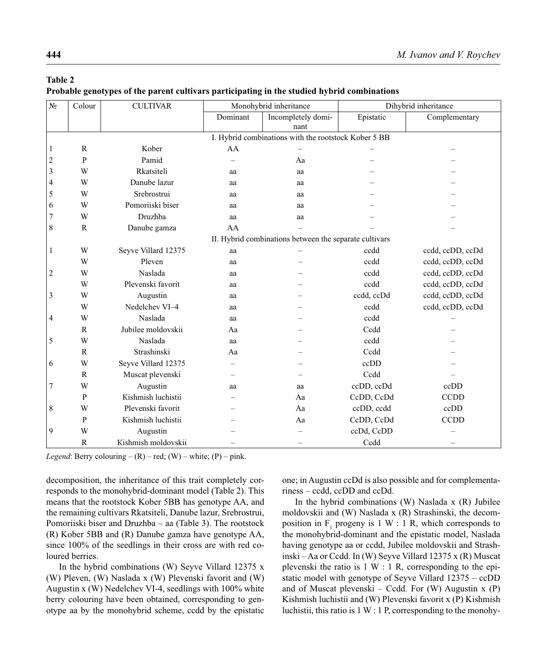## **Table 2**

**Probable genotypes of the parent cultivars participating in the studied hybrid combinations** 

| N <sub>2</sub> | Colour       | <b>CULTIVAR</b>     |          | Monohybrid inheritance                                 |               | Dihybrid inheritance |  |  |  |  |
|----------------|--------------|---------------------|----------|--------------------------------------------------------|---------------|----------------------|--|--|--|--|
|                |              |                     | Dominant | Incompletely domi-<br>nant                             | Complementary |                      |  |  |  |  |
|                |              |                     |          | I. Hybrid combinations with the rootstock Kober 5 BB   |               |                      |  |  |  |  |
| $\mathbf{1}$   | $\mathbb{R}$ | Kober               | AA       |                                                        |               |                      |  |  |  |  |
| $\overline{c}$ | P            | Pamid               |          | Aa                                                     |               |                      |  |  |  |  |
| $\mathfrak{Z}$ | W            | Rkatsiteli          | aa       | aa                                                     |               |                      |  |  |  |  |
| 4              | W            | Danube lazur        | aa       | aa                                                     |               |                      |  |  |  |  |
| 5              | W            | Srebrostrui         | aa       | aa                                                     |               |                      |  |  |  |  |
| 6              | W            | Pomoriiski biser    | aa       | aa                                                     |               |                      |  |  |  |  |
| $\overline{7}$ | W            | Druzhba             | aa       | aa                                                     |               |                      |  |  |  |  |
| 8              | $\mathbb{R}$ | Danube gamza        | AA       |                                                        |               |                      |  |  |  |  |
|                |              |                     |          | II. Hybrid combinations between the separate cultivars |               |                      |  |  |  |  |
| 1              | W            | Seyve Villard 12375 | aa       |                                                        | ccdd          | ccdd, ccDD, ccDd     |  |  |  |  |
|                | W            | Pleven              | aa       |                                                        | ccdd          | ccdd, ccDD, ccDd     |  |  |  |  |
| $\overline{2}$ | W            | Naslada             | aa       |                                                        | ccdd          | ccdd, ccDD, ccDd     |  |  |  |  |
|                | W            | Plevenski favorit   | aa       |                                                        | ccdd          | ccdd, ccDD, ccDd     |  |  |  |  |
| 3              | W            | Augustin            | aa       |                                                        | ccdd, ccDd    | ccdd, ccDD, ccDd     |  |  |  |  |
|                | W            | Nedelchev VI-4      | aa       |                                                        | ccdd          | ccdd, ccDD, ccDd     |  |  |  |  |
| 4              | W            | Naslada             | aa       |                                                        | ccdd          |                      |  |  |  |  |
|                | $\mathbb{R}$ | Jubilee moldovskii  | Aa       |                                                        | Ccdd          |                      |  |  |  |  |
| 5              | W            | Naslada             | aa       |                                                        | ccdd          |                      |  |  |  |  |
|                | $\mathbb{R}$ | Strashinski         | Aa       |                                                        | Ccdd          |                      |  |  |  |  |
| 6              | W            | Seyve Villard 12375 |          |                                                        | ccDD          |                      |  |  |  |  |
|                | $\mathbb{R}$ | Muscat plevenski    |          |                                                        | Ccdd          |                      |  |  |  |  |
| 7              | W            | Augustin            | aa       | aa                                                     | ccDD, ccDd    | ccDD                 |  |  |  |  |
|                | P            | Kishmish luchistii  |          | Aa                                                     | CcDD, CcDd    | <b>CCDD</b>          |  |  |  |  |
| 8              | W            | Plevenski favorit   |          | Aa                                                     | ccDD, ccdd    | ccDD                 |  |  |  |  |
|                | P            | Kishmish luchistii  |          | Aa                                                     | CcDD, CcDd    | <b>CCDD</b>          |  |  |  |  |
| 9              | W            | Augustin            |          |                                                        | ccDd, CcDD    |                      |  |  |  |  |
|                | $\mathbb{R}$ | Kishmish moldovskii |          |                                                        | Ccdd          |                      |  |  |  |  |

*Legend*: Berry colouring –  $(R)$  – red;  $(W)$  – white;  $(P)$  – pink.

decomposition, the inheritance of this trait completely corresponds to the monohybrid-dominant model (Table 2). This means that the rootstock Kober 5BB has genotype AA, and the remaining cultivars Rkatsiteli, Danube lazur, Srebrostrui, Pomoriiski biser and Druzhba – aa (Table 3). The rootstock (R) Kober 5BB and (R) Danube gamza have genotype AA, since 100% of the seedlings in their cross are with red coloured berries.

In the hybrid combinations (W) Seyve Villard  $12375 \text{ x}$ (W) Pleven, (W) Naslada x (W) Plevenski favorit and (W) Augustin x (W) Nedelchev VI-4, seedlings with 100% white berry colouring have been obtained, corresponding to genotype aa by the monohybrid scheme, ccdd by the epistatic one; in Augustin ccDd is also possible and for complementariness – ccdd, ccDD and ccDd.

In the hybrid combinations  $(W)$  Naslada x  $(R)$  Jubilee moldovskii and (W) Naslada x (R) Strashinski, the decomposition in  $F_1$  progeny is 1 W : 1 R, which corresponds to the monohybrid-dominant and the epistatic model, Naslada having genotype aa or ccdd, Jubilee moldovskii and Strashinski – Aa or Ccdd. In (W) Seyve Villard 12375 x (R) Muscat plevenski the ratio is  $1 \text{ W}$ : 1 R, corresponding to the epistatic model with genotype of Seyve Villard 12375 – ccDD and of Muscat plevenski – Ccdd. For  $(W)$  Augustin x  $(P)$ Kishmish luchistii and (W) Plevenski favorit x (P) Kishmish luchistii, this ratio is 1 W : 1 P, corresponding to the monohy-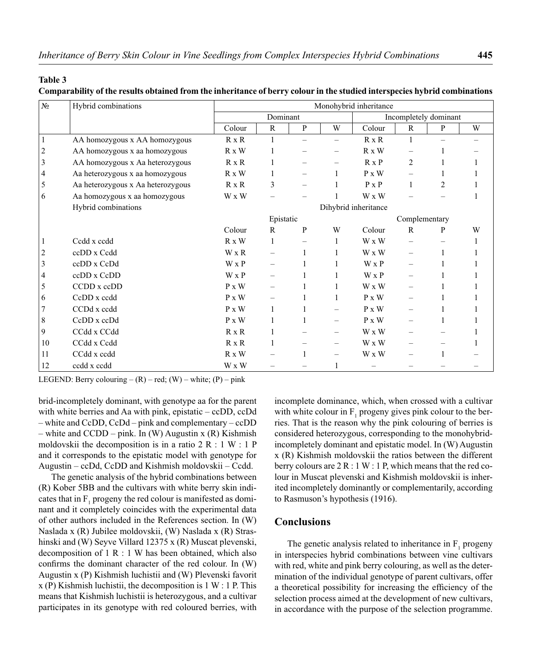#### **Table 3**

#### **Comparability of the results obtained from the inheritance of berry colour in the studied interspecies hybrid combinations**

| N <sub>2</sub> | Hybrid combinations               | Monohybrid inheritance |              |              |                          |                      |                          |                |   |  |
|----------------|-----------------------------------|------------------------|--------------|--------------|--------------------------|----------------------|--------------------------|----------------|---|--|
|                |                                   | Dominant               |              |              | Incompletely dominant    |                      |                          |                |   |  |
|                |                                   | Colour                 | $\mathbb{R}$ | $\, {\bf P}$ | W                        | Colour               | $\mathbb{R}$             | $\mathbf{P}$   | W |  |
| 1              | AA homozygous x AA homozygous     | $R \times R$           | $\mathbf{1}$ |              |                          | $R \times R$         | 1                        |                |   |  |
| 2              | AA homozygous x aa homozygous     | $R \times W$           |              |              |                          | $R \times W$         |                          |                |   |  |
| 3              | AA homozygous x Aa heterozygous   | $R \times R$           |              |              |                          | $R \times P$         | $\overline{c}$           |                |   |  |
| 4              | Aa heterozygous x aa homozygous   | $R \times W$           |              |              |                          | $P \times W$         |                          |                |   |  |
| 5              | Aa heterozygous x Aa heterozygous | $R \times R$           | 3            |              |                          | $P \times P$         | $\mathbf{1}$             | $\overline{c}$ |   |  |
| 6              | Aa homozygous x aa homozygous     | W x W                  |              |              |                          | W x W                |                          |                |   |  |
|                | Hybrid combinations               |                        |              |              |                          | Dihybrid inheritance |                          |                |   |  |
|                |                                   | Epistatic              |              |              |                          | Complementary        |                          |                |   |  |
|                |                                   | Colour                 | R            | P            | W                        | Colour               | R                        | P              | W |  |
|                | Ccdd x ccdd                       | $R \times W$           | $\mathbf{1}$ |              | 1                        | W x W                | $\overline{\phantom{0}}$ |                |   |  |
| 2              | ccDD x Ccdd                       | W x R                  |              | 1            | 1                        | W x W                |                          | 1              |   |  |
| 3              | ccDD x CcDd                       | W x P                  |              |              |                          | W x P                |                          |                |   |  |
| 4              | ccDD x CcDD                       | W x P                  |              |              |                          | W x P                |                          |                |   |  |
| 5              | CCDD x ccDD                       | $P \times W$           |              |              |                          | W x W                |                          |                |   |  |
| 6              | CcDD x ccdd                       | $P \times W$           |              |              |                          | $P \times W$         |                          |                |   |  |
|                | CCDd x ccdd                       | $P \times W$           | 1            |              |                          | $P \times W$         |                          |                |   |  |
| 8              | CcDD x ccDd                       | $P \times W$           | 1            |              | $\overline{\phantom{0}}$ | $P \times W$         |                          |                |   |  |
| 9              | CCdd x CCdd                       | $R \times R$           |              |              |                          | W x W                |                          |                |   |  |
| 10             | CCdd x Ccdd                       | $R \times R$           |              |              | —                        | W x W                |                          |                |   |  |
| 11             | CCdd x ccdd                       | $R \times W$           |              |              | $\overline{\phantom{0}}$ | W x W                |                          |                |   |  |
| 12             | ccdd x ccdd                       | W x W                  |              |              |                          |                      |                          |                |   |  |

LEGEND: Berry colouring  $- (R) - red$ ; (W) – white; (P) – pink

brid-incompletely dominant, with genotype aa for the parent with white berries and Aa with pink, epistatic – ccDD, ccDd – white and CcDD, CcDd – pink and complementary – ccDD – white and  $CCDD$  – pink. In (W) Augustin x (R) Kishmish moldovskii the decomposition is in a ratio 2 R : 1 W : 1 P and it corresponds to the epistatic model with genotype for Augustin – ccDd, CcDD and Kishmish moldovskii – Ccdd.

The genetic analysis of the hybrid combinations between (R) Kober 5BB and the cultivars with white berry skin indicates that in  $F_1$  progeny the red colour is manifested as dominant and it completely coincides with the experimental data of other authors included in the References section. In (W) Naslada x (R) Jubilee moldovskii, (W) Naslada x (R) Strashinski and (W) Seyve Villard 12375 x (R) Muscat plevenski, decomposition of  $1 \text{ R} : 1 \text{ W}$  has been obtained, which also confirms the dominant character of the red colour. In  $(W)$ Augustin x (P) Kishmish luchistii and (W) Plevenski favorit x (P) Kishmish luchistii, the decomposition is 1 W : 1 P. This means that Kishmish luchistii is heterozygous, and a cultivar participates in its genotype with red coloured berries, with incomplete dominance, which, when crossed with a cultivar with white colour in  $F_1$  progeny gives pink colour to the berries. That is the reason why the pink colouring of berries is considered heterozygous, corresponding to the monohybridincompletely dominant and epistatic model. In (W) Augustin x (R) Kishmish moldovskii the ratios between the different berry colours are  $2 R : 1 W : 1 P$ , which means that the red colour in Muscat plevenski and Kishmish moldovskii is inherited incompletely dominantly or complementarily, according to Rasmuson's hypothesis (1916).

## **Conclusions**

The genetic analysis related to inheritance in  $F_1$  progeny in interspecies hybrid combinations between vine cultivars with red, white and pink berry colouring, as well as the determination of the individual genotype of parent cultivars, offer a theoretical possibility for increasing the efficiency of the selection process aimed at the development of new cultivars, in accordance with the purpose of the selection programme.